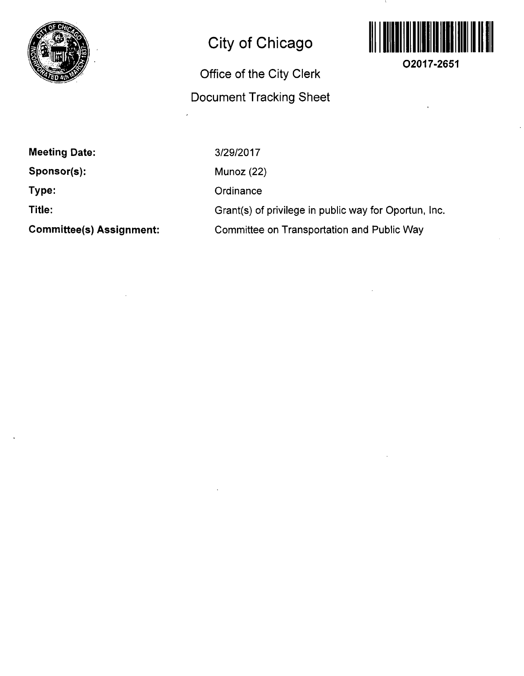

## **City of Chicago**

## **Office of the City Clerk Document Tracking Sheet**



 $\Delta$ 

**O2017-2651** 

| <b>Meeting Date:</b>            |
|---------------------------------|
| Sponsor(s):                     |
| Type:                           |
| Title:                          |
| <b>Committee(s) Assignment:</b> |

3/29/2017 Munoz (22) **Ordinance** Grant(s) of privilege in public way for Oportun, Inc. Connmittee on Transportation and Public Way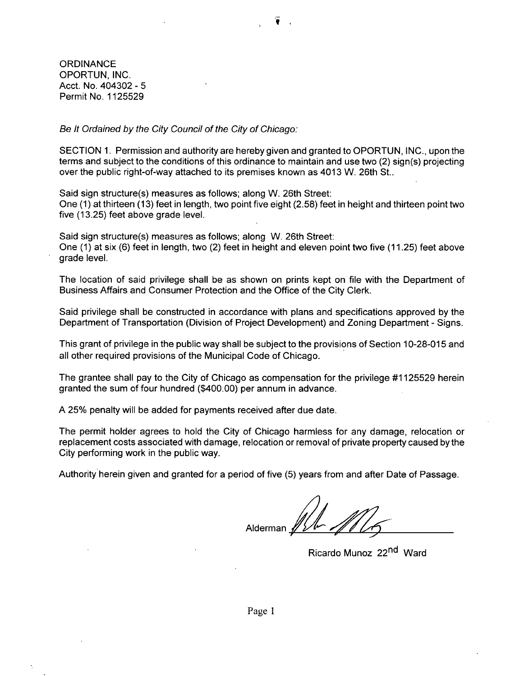**ORDINANCE** OPORTUN, INC. Acct. No. 404302 - 5 Permit No. 1125529

Be It Ordained by the City Council of the City of Chicago:

SECTION 1. Permission and authority are hereby given and granted to OPORTUN, INC., upon the terms and subject to the conditions of this ordinance to maintain and use two (2) sign(s) projecting over the public right-of-way attached to its premises known as 4013 W. 26th St..

Said sign structure(s) measures as follows: along W. 26th Street: One (1) at thirteen (13) feet in length, two point five eight (2.58) feet in height and thirteen point two five (13.25) feet above grade level.

Said sign structure(s) measures as follows; along W. 26th Street: One (1) at six (6) feet in length, two (2) feet in height and eleven point two five (11.25) feet above grade level.

The location of said privilege shall be as shown on prints kept on file with the Department of Business Affairs and Consumer Protection and the Office of the City Clerk.

Said privilege shall be constructed in accordance with plans and specifications approved by the Department of Transportation (Division of Project Development) and Zoning Department - Signs.

This grant of privilege in the public way shall be subject to the provisions of Section 10-28-015 and all other required provisions of the Municipal Code of Chicago.

The grantee shall pay to the City of Chicago as compensation for the privilege #1125529 herein granted the sum of four hundred (\$400.00) per annum in advance.

A 25% penalty will be added for payments received after due date.

The permit holder agrees to hold the City of Chicago harmless for any damage, relocation or replacement costs associated with damage, relocation or removal of private property caused bythe City performing work in the public way.

Authority herein given and granted for a period of five (5) years from and after Date of Passage.

Alderman A

Ricardo Munoz 22<sup>nd</sup> Ward

Page 1